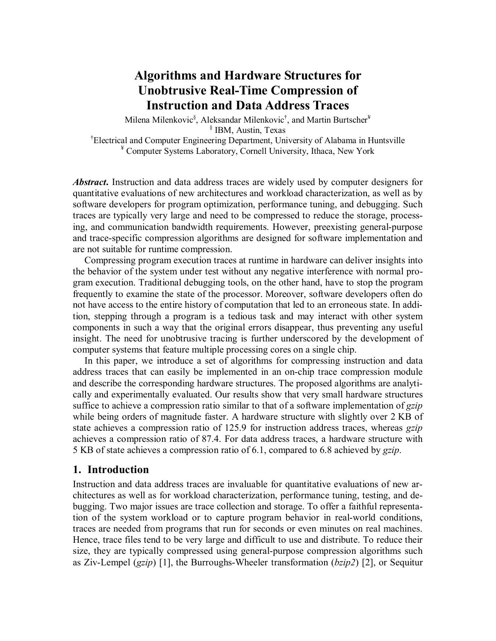# **Algorithms and Hardware Structures for Unobtrusive Real-Time Compression of Instruction and Data Address Traces**

Milena Milenkovic<sup>§</sup>, Aleksandar Milenkovic<sup>†</sup>, and Martin Burtscher<sup>¥</sup> § IBM, Austin, Texas † Electrical and Computer Engineering Department, University of Alabama in Huntsville ¥ Computer Systems Laboratory, Cornell University, Ithaca, New York

*Abstract***.** Instruction and data address traces are widely used by computer designers for quantitative evaluations of new architectures and workload characterization, as well as by software developers for program optimization, performance tuning, and debugging. Such traces are typically very large and need to be compressed to reduce the storage, processing, and communication bandwidth requirements. However, preexisting general-purpose and trace-specific compression algorithms are designed for software implementation and are not suitable for runtime compression.

Compressing program execution traces at runtime in hardware can deliver insights into the behavior of the system under test without any negative interference with normal program execution. Traditional debugging tools, on the other hand, have to stop the program frequently to examine the state of the processor. Moreover, software developers often do not have access to the entire history of computation that led to an erroneous state. In addition, stepping through a program is a tedious task and may interact with other system components in such a way that the original errors disappear, thus preventing any useful insight. The need for unobtrusive tracing is further underscored by the development of computer systems that feature multiple processing cores on a single chip.

In this paper, we introduce a set of algorithms for compressing instruction and data address traces that can easily be implemented in an on-chip trace compression module and describe the corresponding hardware structures. The proposed algorithms are analytically and experimentally evaluated. Our results show that very small hardware structures suffice to achieve a compression ratio similar to that of a software implementation of *gzip* while being orders of magnitude faster. A hardware structure with slightly over 2 KB of state achieves a compression ratio of 125.9 for instruction address traces, whereas *gzip* achieves a compression ratio of 87.4. For data address traces, a hardware structure with 5 KB of state achieves a compression ratio of 6.1, compared to 6.8 achieved by *gzip*.

## **1. Introduction**

Instruction and data address traces are invaluable for quantitative evaluations of new architectures as well as for workload characterization, performance tuning, testing, and debugging. Two major issues are trace collection and storage. To offer a faithful representation of the system workload or to capture program behavior in real-world conditions, traces are needed from programs that run for seconds or even minutes on real machines. Hence, trace files tend to be very large and difficult to use and distribute. To reduce their size, they are typically compressed using general-purpose compression algorithms such as Ziv-Lempel (*gzip*) [1], the Burroughs-Wheeler transformation (*bzip2*) [2], or Sequitur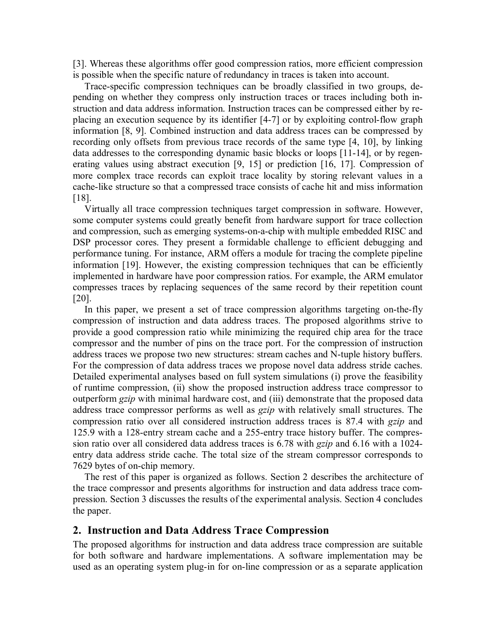[3]. Whereas these algorithms offer good compression ratios, more efficient compression is possible when the specific nature of redundancy in traces is taken into account.

Trace-specific compression techniques can be broadly classified in two groups, depending on whether they compress only instruction traces or traces including both instruction and data address information. Instruction traces can be compressed either by replacing an execution sequence by its identifier [4-7] or by exploiting control-flow graph information [8, 9]. Combined instruction and data address traces can be compressed by recording only offsets from previous trace records of the same type [4, 10], by linking data addresses to the corresponding dynamic basic blocks or loops [11-14], or by regenerating values using abstract execution [9, 15] or prediction [16, 17]. Compression of more complex trace records can exploit trace locality by storing relevant values in a cache-like structure so that a compressed trace consists of cache hit and miss information [18].

Virtually all trace compression techniques target compression in software. However, some computer systems could greatly benefit from hardware support for trace collection and compression, such as emerging systems-on-a-chip with multiple embedded RISC and DSP processor cores. They present a formidable challenge to efficient debugging and performance tuning. For instance, ARM offers a module for tracing the complete pipeline information [19]. However, the existing compression techniques that can be efficiently implemented in hardware have poor compression ratios. For example, the ARM emulator compresses traces by replacing sequences of the same record by their repetition count [20].

In this paper, we present a set of trace compression algorithms targeting on-the-fly compression of instruction and data address traces. The proposed algorithms strive to provide a good compression ratio while minimizing the required chip area for the trace compressor and the number of pins on the trace port. For the compression of instruction address traces we propose two new structures: stream caches and N-tuple history buffers. For the compression of data address traces we propose novel data address stride caches. Detailed experimental analyses based on full system simulations (i) prove the feasibility of runtime compression, (ii) show the proposed instruction address trace compressor to outperform *gzip* with minimal hardware cost, and (iii) demonstrate that the proposed data address trace compressor performs as well as *gzip* with relatively small structures. The compression ratio over all considered instruction address traces is 87.4 with *gzip* and 125.9 with a 128-entry stream cache and a 255-entry trace history buffer. The compression ratio over all considered data address traces is 6.78 with *gzip* and 6.16 with a 1024 entry data address stride cache. The total size of the stream compressor corresponds to 7629 bytes of on-chip memory.

The rest of this paper is organized as follows. Section 2 describes the architecture of the trace compressor and presents algorithms for instruction and data address trace compression. Section 3 discusses the results of the experimental analysis. Section 4 concludes the paper.

# **2. Instruction and Data Address Trace Compression**

The proposed algorithms for instruction and data address trace compression are suitable for both software and hardware implementations. A software implementation may be used as an operating system plug-in for on-line compression or as a separate application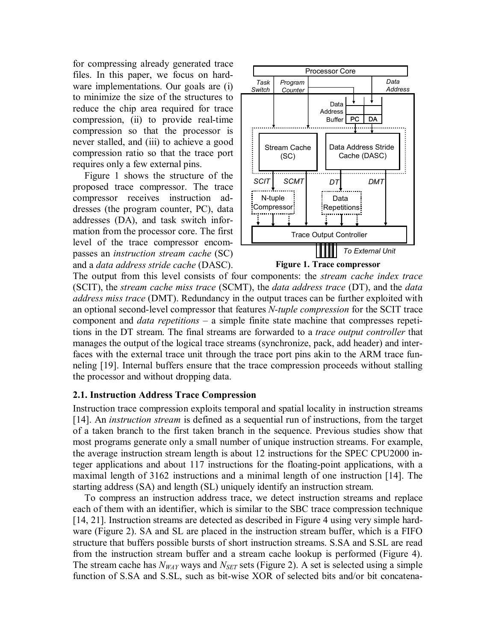for compressing already generated trace files. In this paper, we focus on hardware implementations. Our goals are (i) to minimize the size of the structures to reduce the chip area required for trace compression, (ii) to provide real-time compression so that the processor is never stalled, and (iii) to achieve a good compression ratio so that the trace port requires only a few external pins.

Figure 1 shows the structure of the proposed trace compressor. The trace compressor receives instruction addresses (the program counter, PC), data addresses (DA), and task switch information from the processor core. The first level of the trace compressor encompasses an *instruction stream cache* (SC) and a *data address stride cache* (DASC).



The output from this level consists of four components: the *stream cache index trace* (SCIT), the *stream cache miss trace* (SCMT), the *data address trace* (DT), and the *data address miss trace* (DMT). Redundancy in the output traces can be further exploited with an optional second-level compressor that features *N-tuple compression* for the SCIT trace component and *data repetitions* – a simple finite state machine that compresses repetitions in the DT stream. The final streams are forwarded to a *trace output controller* that manages the output of the logical trace streams (synchronize, pack, add header) and interfaces with the external trace unit through the trace port pins akin to the ARM trace funneling [19]. Internal buffers ensure that the trace compression proceeds without stalling the processor and without dropping data.

## **2.1. Instruction Address Trace Compression**

Instruction trace compression exploits temporal and spatial locality in instruction streams [14]. An *instruction stream* is defined as a sequential run of instructions, from the target of a taken branch to the first taken branch in the sequence. Previous studies show that most programs generate only a small number of unique instruction streams. For example, the average instruction stream length is about 12 instructions for the SPEC CPU2000 integer applications and about 117 instructions for the floating-point applications, with a maximal length of 3162 instructions and a minimal length of one instruction [14]. The starting address (SA) and length (SL) uniquely identify an instruction stream.

To compress an instruction address trace, we detect instruction streams and replace each of them with an identifier, which is similar to the SBC trace compression technique [14, 21]. Instruction streams are detected as described in Figure 4 using very simple hardware (Figure 2). SA and SL are placed in the instruction stream buffer, which is a FIFO structure that buffers possible bursts of short instruction streams. S.SA and S.SL are read from the instruction stream buffer and a stream cache lookup is performed (Figure 4). The stream cache has  $N_{WAY}$  ways and  $N_{SET}$  sets (Figure 2). A set is selected using a simple function of S.SA and S.SL, such as bit-wise XOR of selected bits and/or bit concatena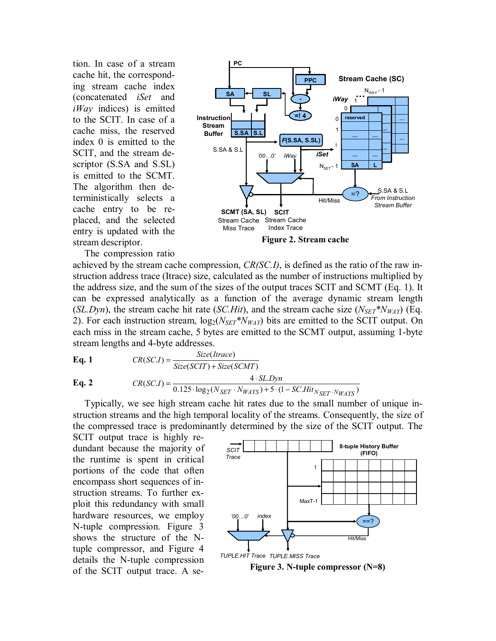tion. In case of a stream cache hit, the corresponding stream cache index (concatenated *iSet* and *iWay* indices) is emitted to the SCIT. In case of a cache miss, the reserved index 0 is emitted to the SCIT, and the stream descriptor (S.SA and S.SL) is emitted to the SCMT. The algorithm then deterministically selects a cache entry to be replaced, and the selected entry is updated with the stream descriptor.



The compression ratio

achieved by the stream cache compression, *CR(SC.I)*, is defined as the ratio of the raw instruction address trace (Itrace) size, calculated as the number of instructions multiplied by the address size, and the sum of the sizes of the output traces SCIT and SCMT (Eq. 1). It can be expressed analytically as a function of the average dynamic stream length (*SL.Dyn*), the stream cache hit rate (*SC.Hit*), and the stream cache size ( $N_{SET} N_{WAY}$ ) (Eq. 2). For each instruction stream,  $log_2(N_{SET} * N_{WAY})$  bits are emitted to the SCIT output. On each miss in the stream cache, 5 bytes are emitted to the SCMT output, assuming 1-byte stream lengths and 4-byte addresses.

**Eq. 1**

\n
$$
CR(SC.I) = \frac{Size(Trace)}{Size(SCIT) + Size(SCMT)}
$$
\n**Eq. 2**

\n
$$
CR(SC.I) = \frac{4 \cdot SLDyn}{0.125 \cdot \log_2(N_{SET} \cdot N_{WATS}) + 5 \cdot (1 - SC.Hit_{NSET} \cdot N_{WATS})}
$$

Typically, we see high stream cache hit rates due to the small number of unique instruction streams and the high temporal locality of the streams. Consequently, the size of the compressed trace is predominantly determined by the size of the SCIT output. The

SCIT output trace is highly redundant because the majority of the runtime is spent in critical portions of the code that often encompass short sequences of instruction streams. To further exploit this redundancy with small hardware resources, we employ N-tuple compression. Figure 3 shows the structure of the Ntuple compressor, and Figure 4 details the N-tuple compression of the SCIT output trace. A se-



**Figure 3. N-tuple compressor (N=8)**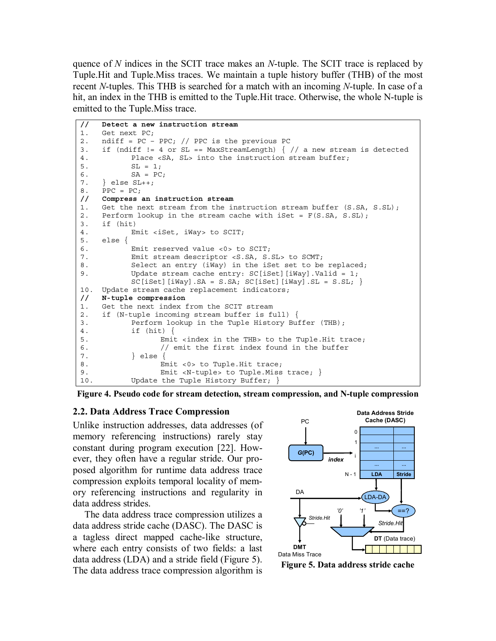quence of *N* indices in the SCIT trace makes an *N*-tuple. The SCIT trace is replaced by Tuple.Hit and Tuple.Miss traces. We maintain a tuple history buffer (THB) of the most recent *N*-tuples. This THB is searched for a match with an incoming *N*-tuple. In case of a hit, an index in the THB is emitted to the Tuple.Hit trace. Otherwise, the whole N-tuple is emitted to the Tuple.Miss trace.

```
// Detect a new instruction stream 
1. Get next PC; 
2. ndiff = PC – PPC; // PPC is the previous PC 
3. if (ndiff != 4 or SL == MaxStreamLength) \frac{1}{4} // a new stream is detected
4. Place <SA, SL> into the instruction stream buffer; 
5. SL = 1;SA = PC;7. } else SL++; 
8. PPC = PC;
// Compress an instruction stream 
1. Get the next stream from the instruction stream buffer (S.SA, S.SL);
2. Perform lookup in the stream cache with iSet = F(S.SA, S.SL);
3. if (hit) 
4. Emit <iSet, iWay> to SCIT; 
5. else { 
6. Emit reserved value <0> to SCIT; 
7. Emit stream descriptor <S.SA, S.SL> to SCMT; 
8. Select an entry (iWay) in the iSet set to be replaced;
9. Update stream cache entry: SC[iSet][iWay].Valid = 1;
          SC[iSet][iWay].SA = S.SA; SC[iSet][iWay].SL = S.SL;10. Update stream cache replacement indicators; 
// N-tuple compression 
1. Get the next index from the SCIT stream 
2. if (N-tuple incoming stream buffer is full) { 
3. Perform lookup in the Tuple History Buffer (THB); 
4. if (hit) { 
5. Emit <index in the THB> to the Tuple.Hit trace; 
6. // emit the first index found in the buffer
7. } else { 
8. Emit <0> to Tuple. Hit trace;
9. Emit <N-tuple> to Tuple.Miss trace; }
10. Update the Tuple History Buffer; }
```


#### **2.2. Data Address Trace Compression**

Unlike instruction addresses, data addresses (of memory referencing instructions) rarely stay constant during program execution [22]. However, they often have a regular stride. Our proposed algorithm for runtime data address trace compression exploits temporal locality of memory referencing instructions and regularity in data address strides.

The data address trace compression utilizes a data address stride cache (DASC). The DASC is a tagless direct mapped cache-like structure, where each entry consists of two fields: a last data address (LDA) and a stride field (Figure 5). The data address trace compression algorithm is



**Figure 5. Data address stride cache**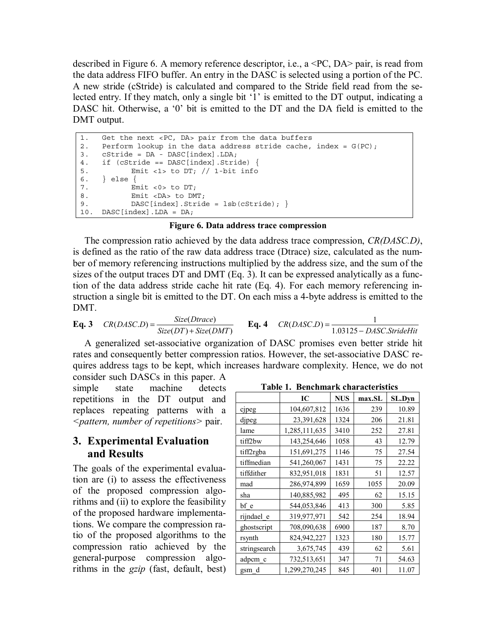described in Figure 6. A memory reference descriptor, i.e., a <PC, DA> pair, is read from the data address FIFO buffer. An entry in the DASC is selected using a portion of the PC. A new stride (cStride) is calculated and compared to the Stride field read from the selected entry. If they match, only a single bit '1' is emitted to the DT output, indicating a DASC hit. Otherwise, a '0' bit is emitted to the DT and the DA field is emitted to the DMT output.

```
1. Get the next <PC, DA> pair from the data buffers 
2. Perform lookup in the data address stride cache, index = G(PC);
3. cStride = DA - DASC[index].LDA; 
4. if (cStride == DASC[index].Stride) { 
5. Emit <1> to DT; // 1-bit info 
6. } else { 
7. Emit <0> to DT;
8. Emit <DA> to DMT;
9. DASC[index].Stride = lsb(cStride); }
10. DASC[index].LDA = DA;
```
#### **Figure 6. Data address trace compression**

The compression ratio achieved by the data address trace compression, *CR(DASC.D)*, is defined as the ratio of the raw data address trace (Dtrace) size, calculated as the number of memory referencing instructions multiplied by the address size, and the sum of the sizes of the output traces DT and DMT (Eq. 3). It can be expressed analytically as a function of the data address stride cache hit rate (Eq. 4). For each memory referencing instruction a single bit is emitted to the DT. On each miss a 4-byte address is emitted to the DMT.

**Eq. 3** 
$$
CR(DASC.D) = \frac{Size(Dtrace)}{Size(DT) + Size(DMT)}
$$
**Eq. 4** 
$$
CR(DASC.D) = \frac{1}{1.03125 - DASC.StrideHit}
$$

A generalized set-associative organization of DASC promises even better stride hit rates and consequently better compression ratios. However, the set-associative DASC requires address tags to be kept, which increases hardware complexity. Hence, we do not

consider such DASCs in this paper. A simple state machine detects repetitions in the DT output and replaces repeating patterns with a *<pattern, number of repetitions>* pair.

# **3. Experimental Evaluation and Results**

The goals of the experimental evaluation are (i) to assess the effectiveness of the proposed compression algorithms and (ii) to explore the feasibility of the proposed hardware implementations. We compare the compression ratio of the proposed algorithms to the compression ratio achieved by the general-purpose compression algorithms in the *gzip* (fast, default, best)

|              | IC            | <b>NUS</b> | max.SL | <b>SL.Dvn</b> |
|--------------|---------------|------------|--------|---------------|
| cjpeg        | 104,607,812   | 1636       | 239    | 10.89         |
| dipeg        | 23,391,628    | 1324       | 206    | 21.81         |
| lame         | 1,285,111,635 | 3410       | 252    | 27.81         |
| tiff2bw      | 143,254,646   | 1058       | 43     | 12.79         |
| tiff2rgba    | 151,691,275   | 1146       | 75     | 27.54         |
| tiffmedian   | 541,260,067   | 1431       | 75     | 22.22         |
| tiffdither   | 832,951,018   | 1831       | 51     | 12.57         |
| mad          | 286,974,899   | 1659       | 1055   | 20.09         |
| sha          | 140,885,982   | 495        | 62     | 15.15         |
| bf e         | 544,053,846   | 413        | 300    | 5.85          |
| rijndael e   | 319,977,971   | 542        | 254    | 18.94         |
| ghostscript  | 708,090,638   | 6900       | 187    | 8.70          |
| rsynth       | 824,942,227   | 1323       | 180    | 15.77         |
| stringsearch | 3,675,745     | 439        | 62     | 5.61          |
| adpcm c      | 732,513,651   | 347        | 71     | 54.63         |
| gsm d        | 1,299,270,245 | 845        | 401    | 11.07         |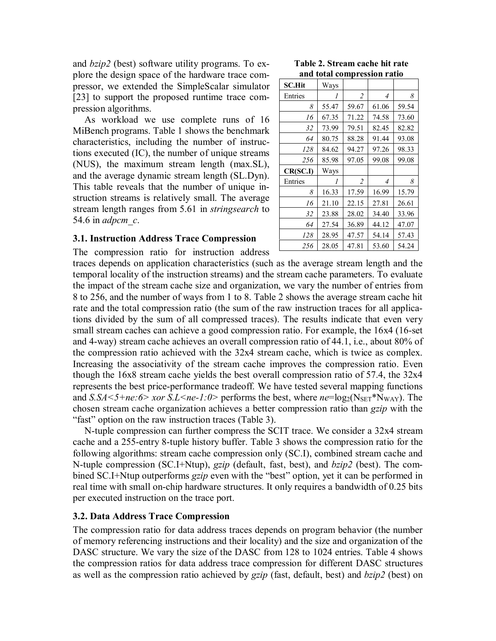and *bzip2* (best) software utility programs. To explore the design space of the hardware trace compressor, we extended the SimpleScalar simulator [23] to support the proposed runtime trace compression algorithms.

As workload we use complete runs of 16 MiBench programs. Table 1 shows the benchmark characteristics, including the number of instructions executed (IC), the number of unique streams (NUS), the maximum stream length (max.SL), and the average dynamic stream length (SL.Dyn). This table reveals that the number of unique instruction streams is relatively small. The average stream length ranges from 5.61 in *stringsearch* to 54.6 in *adpcm\_c*.

#### **3.1. Instruction Address Trace Compression**

The compression ratio for instruction address

#### **Table 2. Stream cache hit rate and total compression ratio**

| <b>SC.Hit</b> | Ways         | .              |                |       |
|---------------|--------------|----------------|----------------|-------|
| Entries       | 1            | $\overline{2}$ | $\overline{4}$ | 8     |
| 8             | 55.47        | 59.67          | 61.06          | 59.54 |
| 16            | 67.35        | 71.22          | 74.58          | 73.60 |
| 32            | 73.99        | 79.51          | 82.45          | 82.82 |
| 64            | 80.75        | 88.28          | 91.44          | 93.08 |
| 128           | 84.62        | 94.27          | 97.26          | 98.33 |
| 256           | 85.98        | 97.05          | 99.08          | 99.08 |
| CR(SC.I)      | Ways         |                |                |       |
| Entries       | $\mathcal I$ | $\overline{2}$ | 4              | 8     |
| 8             | 16.33        | 17.59          | 16.99          | 15.79 |
| 16            | 21.10        | 22.15          | 27.81          | 26.61 |
| 32            | 23.88        | 28.02          | 34.40          | 33.96 |
| 64            | 27.54        | 36.89          | 44.12          | 47.07 |
| 128           | 28.95        | 47.57          | 54.14          | 57.43 |
| 256           | 28.05        | 47.81          | 53.60          | 54.24 |

traces depends on application characteristics (such as the average stream length and the temporal locality of the instruction streams) and the stream cache parameters. To evaluate the impact of the stream cache size and organization, we vary the number of entries from 8 to 256, and the number of ways from 1 to 8. Table 2 shows the average stream cache hit rate and the total compression ratio (the sum of the raw instruction traces for all applications divided by the sum of all compressed traces). The results indicate that even very small stream caches can achieve a good compression ratio. For example, the 16x4 (16-set and 4-way) stream cache achieves an overall compression ratio of 44.1, i.e., about 80% of the compression ratio achieved with the 32x4 stream cache, which is twice as complex. Increasing the associativity of the stream cache improves the compression ratio. Even though the 16x8 stream cache yields the best overall compression ratio of 57.4, the 32x4 represents the best price-performance tradeoff. We have tested several mapping functions and *S.SA* < 5+ne: 6> *xor S.L* < ne-1: 0> performs the best, where  $ne = \log_2(N_{\text{SET}}^*N_{\text{WAY}})$ . The chosen stream cache organization achieves a better compression ratio than *gzip* with the "fast" option on the raw instruction traces (Table 3).

N-tuple compression can further compress the SCIT trace. We consider a 32x4 stream cache and a 255-entry 8-tuple history buffer. Table 3 shows the compression ratio for the following algorithms: stream cache compression only (SC.I), combined stream cache and N-tuple compression (SC.I+Ntup), *gzip* (default, fast, best), and *bzip2* (best). The combined SC.I+Ntup outperforms *gzip* even with the "best" option, yet it can be performed in real time with small on-chip hardware structures. It only requires a bandwidth of 0.25 bits per executed instruction on the trace port.

#### **3.2. Data Address Trace Compression**

The compression ratio for data address traces depends on program behavior (the number of memory referencing instructions and their locality) and the size and organization of the DASC structure. We vary the size of the DASC from 128 to 1024 entries. Table 4 shows the compression ratios for data address trace compression for different DASC structures as well as the compression ratio achieved by *gzip* (fast, default, best) and *bzip2* (best) on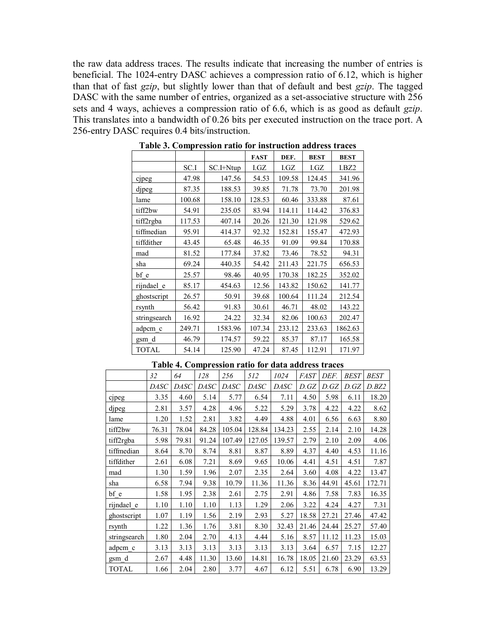the raw data address traces. The results indicate that increasing the number of entries is beneficial. The 1024-entry DASC achieves a compression ratio of 6.12, which is higher than that of fast *gzip*, but slightly lower than that of default and best *gzip*. The tagged DASC with the same number of entries, organized as a set-associative structure with 256 sets and 4 ways, achieves a compression ratio of 6.6, which is as good as default *gzip*. This translates into a bandwidth of 0.26 bits per executed instruction on the trace port. A 256-entry DASC requires 0.4 bits/instruction.

|              |        |           | <b>FAST</b> | DEF.   | <b>BEST</b> | <b>BEST</b> |
|--------------|--------|-----------|-------------|--------|-------------|-------------|
|              | SC.I   | SC.I+Ntup | I.GZ        | I.GZ   | I.GZ        | I.BZ2       |
| cjpeg        | 47.98  | 147.56    | 54.53       | 109.58 | 124.45      | 341.96      |
| djpeg        | 87.35  | 188.53    | 39.85       | 71.78  | 73.70       | 201.98      |
| lame         | 100.68 | 158.10    | 128.53      | 60.46  | 333.88      | 87.61       |
| tiff2bw      | 54.91  | 235.05    | 83.94       | 114.11 | 114.42      | 376.83      |
| tiff2rgba    | 117.53 | 407.14    | 20.26       | 121.30 | 121.98      | 529.62      |
| tiffmedian   | 95.91  | 414.37    | 92.32       | 152.81 | 155.47      | 472.93      |
| tiffdither   | 43.45  | 65.48     | 46.35       | 91.09  | 99.84       | 170.88      |
| mad          | 81.52  | 177.84    | 37.82       | 73.46  | 78.52       | 94.31       |
| sha          | 69.24  | 440.35    | 54.42       | 211.43 | 221.75      | 656.53      |
| bf e         | 25.57  | 98.46     | 40.95       | 170.38 | 182.25      | 352.02      |
| rijndael e   | 85.17  | 454.63    | 12.56       | 143.82 | 150.62      | 141.77      |
| ghostscript  | 26.57  | 50.91     | 39.68       | 100.64 | 111.24      | 212.54      |
| rsynth       | 56.42  | 91.83     | 30.61       | 46.71  | 48.02       | 143.22      |
| stringsearch | 16.92  | 24.22     | 32.34       | 82.06  | 100.63      | 202.47      |
| adpcm c      | 249.71 | 1583.96   | 107.34      | 233.12 | 233.63      | 1862.63     |
| gsm_d        | 46.79  | 174.57    | 59.22       | 85.37  | 87.17       | 165.58      |
| <b>TOTAL</b> | 54.14  | 125.90    | 47.24       | 87.45  | 112.91      | 171.97      |

**Table 3. Compression ratio for instruction address traces** 

|      |      |       |         | Table 4. Compression ratio for data address traces |      |                     |      |       |  |
|------|------|-------|---------|----------------------------------------------------|------|---------------------|------|-------|--|
| 32   | 64   | 128   | 256     | 512                                                | 1024 | $FAST$ $DEF$ $BEST$ |      |       |  |
|      |      |       |         | DASC DASC DASC DASC DASC DASC DASC D.GZ D.GZ D.GZ  |      |                     |      |       |  |
| 3.35 | 4.60 | 5 1 4 | 5 7 7 1 | 6.54                                               | 7.11 | 4.50                | 5981 | 6 1 1 |  |

 $\mathbf{r}$ 

|              | 32          | 64          | 128   | 256    | 512         | 1024        | <i>FAST</i> | DEF.  | BEST  | <i>BEST</i> |
|--------------|-------------|-------------|-------|--------|-------------|-------------|-------------|-------|-------|-------------|
|              | <b>DASC</b> | <b>DASC</b> | DASC  | DASC   | <b>DASC</b> | <b>DASC</b> | D.GZ        | D.GZ  | D.GZ  | D.BZ2       |
| cjpeg        | 3.35        | 4.60        | 5.14  | 5.77   | 6.54        | 7.11        | 4.50        | 5.98  | 6.11  | 18.20       |
| djpeg        | 2.81        | 3.57        | 4.28  | 4.96   | 5.22        | 5.29        | 3.78        | 4.22  | 4.22  | 8.62        |
| lame         | 1.20        | 1.52        | 2.81  | 3.82   | 4.49        | 4.88        | 4.01        | 6.56  | 6.63  | 8.80        |
| tiff2bw      | 76.31       | 78.04       | 84.28 | 105.04 | 128.84      | 134.23      | 2.55        | 2.14  | 2.10  | 14.28       |
| tiff2rgba    | 5.98        | 79.81       | 91.24 | 107.49 | 127.05      | 139.57      | 2.79        | 2.10  | 2.09  | 4.06        |
| tiffmedian   | 8.64        | 8.70        | 8.74  | 8.81   | 8.87        | 8.89        | 4.37        | 4.40  | 4.53  | 11.16       |
| tiffdither   | 2.61        | 6.08        | 7.21  | 8.69   | 9.65        | 10.06       | 4.41        | 4.51  | 4.51  | 7.87        |
| mad          | 1.30        | 1.59        | 1.96  | 2.07   | 2.35        | 2.64        | 3.60        | 4.08  | 4.22  | 13.47       |
| sha          | 6.58        | 7.94        | 9.38  | 10.79  | 11.36       | 11.36       | 8.36        | 44.91 | 45.61 | 172.71      |
| bf e         | 1.58        | 1.95        | 2.38  | 2.61   | 2.75        | 2.91        | 4.86        | 7.58  | 7.83  | 16.35       |
| rijndael e   | 1.10        | 1.10        | 1.10  | 1.13   | 1.29        | 2.06        | 3.22        | 4.24  | 4.27  | 7.31        |
| ghostscript  | 1.07        | 1.19        | 1.56  | 2.19   | 2.93        | 5.27        | 18.58       | 27.21 | 27.46 | 47.42       |
| rsynth       | 1.22        | 1.36        | 1.76  | 3.81   | 8.30        | 32.43       | 21.46       | 24.44 | 25.27 | 57.40       |
| stringsearch | 1.80        | 2.04        | 2.70  | 4.13   | 4.44        | 5.16        | 8.57        | 11.12 | 11.23 | 15.03       |
| adpcm c      | 3.13        | 3.13        | 3.13  | 3.13   | 3.13        | 3.13        | 3.64        | 6.57  | 7.15  | 12.27       |
| gsm d        | 2.67        | 4.48        | 11.30 | 13.60  | 14.81       | 16.78       | 18.05       | 21.60 | 23.29 | 63.53       |
| <b>TOTAL</b> | 1.66        | 2.04        | 2.80  | 3.77   | 4.67        | 6.12        | 5.51        | 6.78  | 6.90  | 13.29       |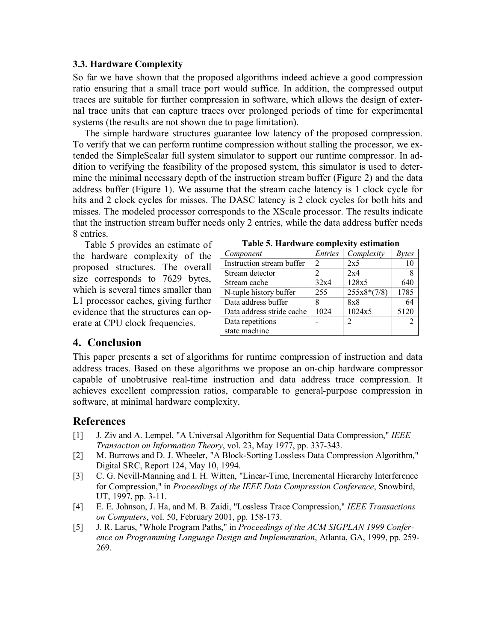## **3.3. Hardware Complexity**

So far we have shown that the proposed algorithms indeed achieve a good compression ratio ensuring that a small trace port would suffice. In addition, the compressed output traces are suitable for further compression in software, which allows the design of external trace units that can capture traces over prolonged periods of time for experimental systems (the results are not shown due to page limitation).

The simple hardware structures guarantee low latency of the proposed compression. To verify that we can perform runtime compression without stalling the processor, we extended the SimpleScalar full system simulator to support our runtime compressor. In addition to verifying the feasibility of the proposed system, this simulator is used to determine the minimal necessary depth of the instruction stream buffer (Figure 2) and the data address buffer (Figure 1). We assume that the stream cache latency is 1 clock cycle for hits and 2 clock cycles for misses. The DASC latency is 2 clock cycles for both hits and misses. The modeled processor corresponds to the XScale processor. The results indicate that the instruction stream buffer needs only 2 entries, while the data address buffer needs 8 entries.

Table 5 provides an estimate of the hardware complexity of the proposed structures. The overall size corresponds to 7629 bytes, which is several times smaller than L1 processor caches, giving further evidence that the structures can operate at CPU clock frequencies.

| Component                 | <i>Entries</i> | Complexity    | <i>Bytes</i> |
|---------------------------|----------------|---------------|--------------|
| Instruction stream buffer | $\mathfrak{D}$ | 2x5           | 10           |
| Stream detector           |                | 2x4           | 8            |
| Stream cache              | 32x4           | 128x5         | 640          |
| N-tuple history buffer    | 255            | $255x8*(7/8)$ | 1785         |
| Data address buffer       |                | 8x8           | 64           |
| Data address stride cache | 1024           | 1024x5        | 5120         |
| Data repetitions          |                | 2             | 2            |
| state machine             |                |               |              |

## **4. Conclusion**

This paper presents a set of algorithms for runtime compression of instruction and data address traces. Based on these algorithms we propose an on-chip hardware compressor capable of unobtrusive real-time instruction and data address trace compression. It achieves excellent compression ratios, comparable to general-purpose compression in software, at minimal hardware complexity.

# **References**

- [1] J. Ziv and A. Lempel, "A Universal Algorithm for Sequential Data Compression," *IEEE Transaction on Information Theory*, vol. 23, May 1977, pp. 337-343.
- [2] M. Burrows and D. J. Wheeler, "A Block-Sorting Lossless Data Compression Algorithm," Digital SRC, Report 124, May 10, 1994.
- [3] C. G. Nevill-Manning and I. H. Witten, "Linear-Time, Incremental Hierarchy Interference for Compression," in *Proceedings of the IEEE Data Compression Conference*, Snowbird, UT, 1997, pp. 3-11.
- [4] E. E. Johnson, J. Ha, and M. B. Zaidi, "Lossless Trace Compression," *IEEE Transactions on Computers*, vol. 50, February 2001, pp. 158-173.
- [5] J. R. Larus, "Whole Program Paths," in *Proceedings of the ACM SIGPLAN 1999 Conference on Programming Language Design and Implementation*, Atlanta, GA, 1999, pp. 259- 269.